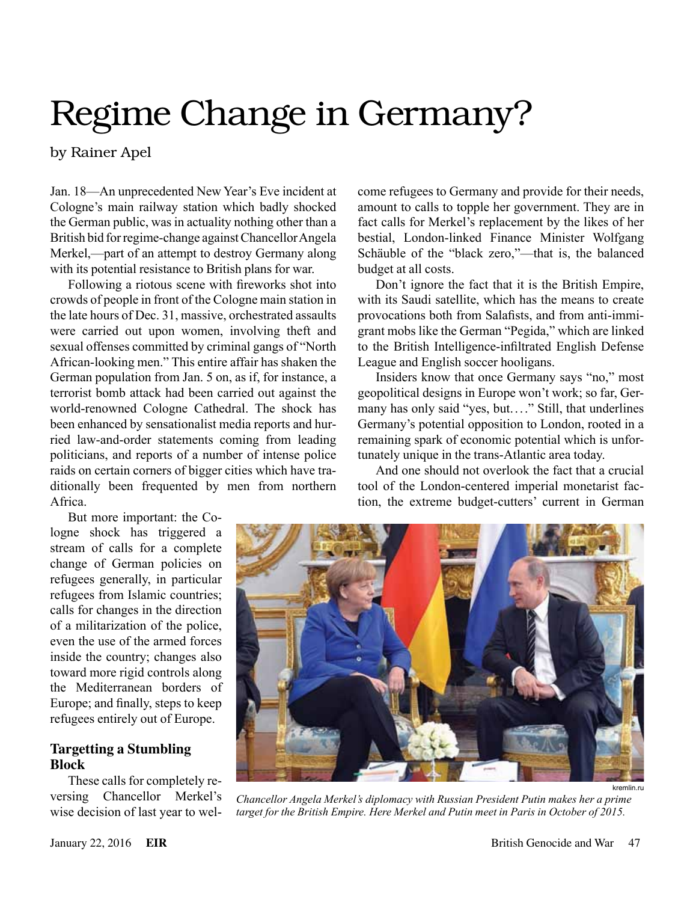# Regime Change in Germany?

by Rainer Apel

Jan. 18—An unprecedented New Year's Eve incident at Cologne's main railway station which badly shocked the German public, was in actuality nothing other than a British bid for regime-change against Chancellor Angela Merkel,—part of an attempt to destroy Germany along with its potential resistance to British plans for war.

Following a riotous scene with fireworks shot into crowds of people in front of the Cologne main station in the late hours of Dec. 31, massive, orchestrated assaults were carried out upon women, involving theft and sexual offenses committed by criminal gangs of "North African-looking men." This entire affair has shaken the German population from Jan. 5 on, as if, for instance, a terrorist bomb attack had been carried out against the world-renowned Cologne Cathedral. The shock has been enhanced by sensationalist media reports and hurried law-and-order statements coming from leading politicians, and reports of a number of intense police raids on certain corners of bigger cities which have traditionally been frequented by men from northern Africa.

But more important: the Cologne shock has triggered a stream of calls for a complete change of German policies on refugees generally, in particular refugees from Islamic countries; calls for changes in the direction of a militarization of the police, even the use of the armed forces inside the country; changes also toward more rigid controls along the Mediterranean borders of Europe; and finally, steps to keep refugees entirely out of Europe.

### **Targetting a Stumbling Block**

These calls for completely reversing Chancellor Merkel's wise decision of last year to welcome refugees to Germany and provide for their needs, amount to calls to topple her government. They are in fact calls for Merkel's replacement by the likes of her bestial, London-linked Finance Minister Wolfgang Schäuble of the "black zero,"—that is, the balanced budget at all costs.

Don't ignore the fact that it is the British Empire, with its Saudi satellite, which has the means to create provocations both from Salafists, and from anti-immigrant mobs like the German "Pegida," which are linked to the British Intelligence-infiltrated English Defense League and English soccer hooligans.

Insiders know that once Germany says "no," most geopolitical designs in Europe won't work; so far, Germany has only said "yes, but...." Still, that underlines Germany's potential opposition to London, rooted in a remaining spark of economic potential which is unfortunately unique in the trans-Atlantic area today.

And one should not overlook the fact that a crucial tool of the London-centered imperial monetarist faction, the extreme budget-cutters' current in German



*Chancellor Angela Merkel's diplomacy with Russian President Putin makes her a prime target for the British Empire. Here Merkel and Putin meet in Paris in October of 2015.*